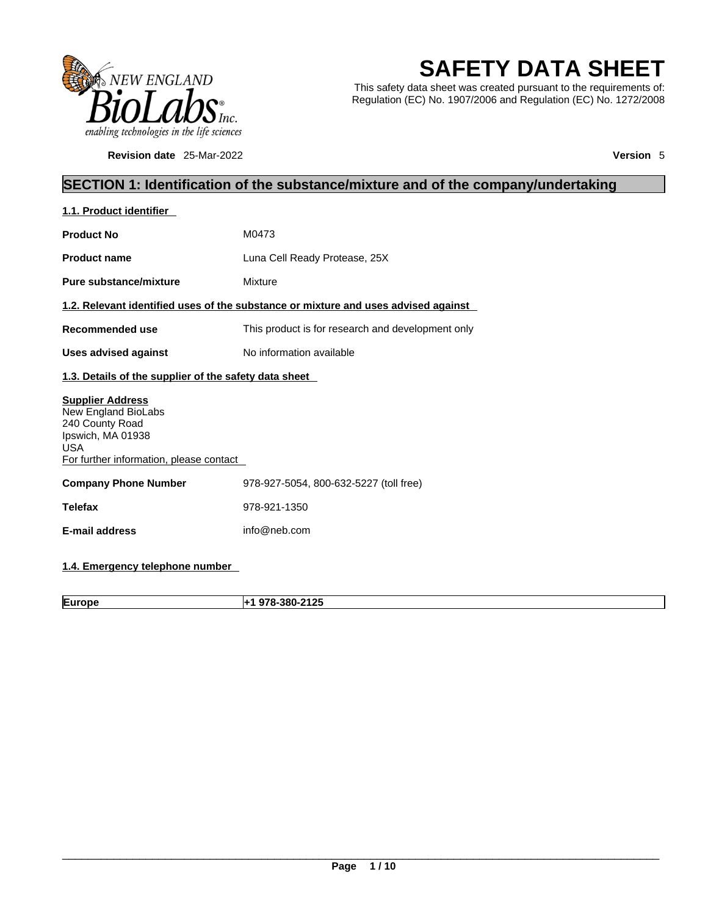

**Revision date** 25-Mar-2022 **Version** 5

# **SAFETY DATA SHEET**

This safety data sheet was created pursuant to the requirements of: Regulation (EC) No. 1907/2006 and Regulation (EC) No. 1272/2008

## **SECTION 1: Identification of the substance/mixture and of the company/undertaking**

| 1.1. Product identifier                                                                                                                         |                                                                                    |  |
|-------------------------------------------------------------------------------------------------------------------------------------------------|------------------------------------------------------------------------------------|--|
| <b>Product No</b>                                                                                                                               | M0473                                                                              |  |
| <b>Product name</b>                                                                                                                             | Luna Cell Ready Protease, 25X                                                      |  |
| Pure substance/mixture                                                                                                                          | Mixture                                                                            |  |
|                                                                                                                                                 | 1.2. Relevant identified uses of the substance or mixture and uses advised against |  |
| Recommended use                                                                                                                                 | This product is for research and development only                                  |  |
| <b>Uses advised against</b>                                                                                                                     | No information available                                                           |  |
| 1.3. Details of the supplier of the safety data sheet                                                                                           |                                                                                    |  |
| <b>Supplier Address</b><br>New England BioLabs<br>240 County Road<br>Ipswich, MA 01938<br><b>USA</b><br>For further information, please contact |                                                                                    |  |
| <b>Company Phone Number</b>                                                                                                                     | 978-927-5054, 800-632-5227 (toll free)                                             |  |
| <b>Telefax</b>                                                                                                                                  | 978-921-1350                                                                       |  |
| E-mail address                                                                                                                                  | info@neb.com                                                                       |  |
|                                                                                                                                                 |                                                                                    |  |

## **1.4. Emergency telephone number**

**Europe +1 978-380-2125**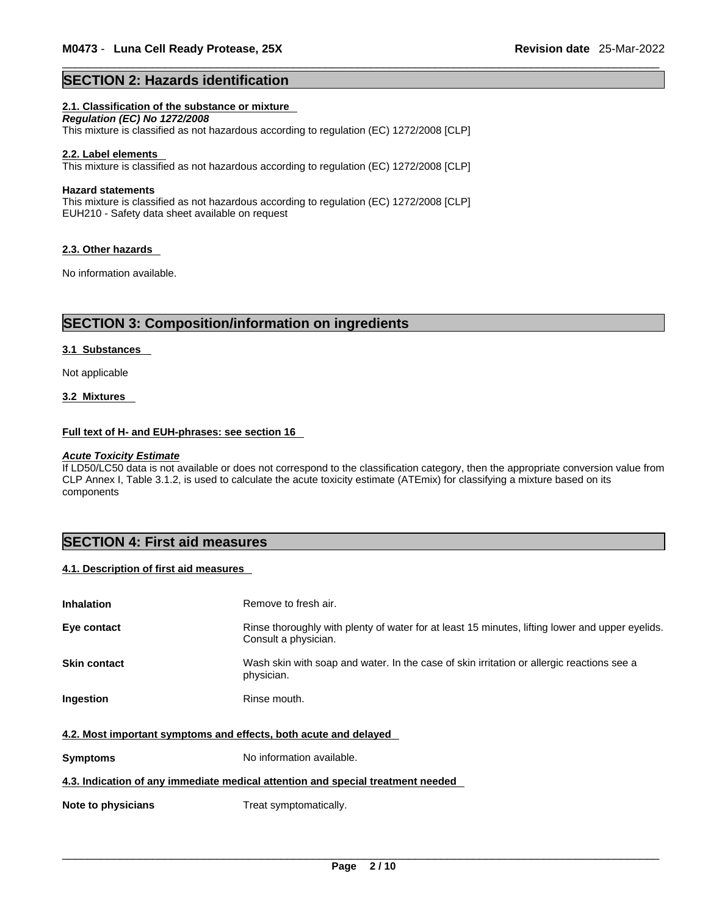#### **SECTION 2: Hazards identification**

#### **2.1. Classification of the substance or mixture**

*Regulation (EC) No 1272/2008*  This mixture is classified as not hazardous according to regulation (EC) 1272/2008 [CLP]

#### **2.2. Label elements**

This mixture is classified as not hazardous according to regulation (EC) 1272/2008 [CLP]

#### **Hazard statements**

This mixture is classified as not hazardous according to regulation (EC) 1272/2008 [CLP] EUH210 - Safety data sheet available on request

#### **2.3. Other hazards**

No information available.

#### **SECTION 3: Composition/information on ingredients**

#### **3.1 Substances**

Not applicable

#### **3.2 Mixtures**

#### **Full text of H- and EUH-phrases: see section 16**

#### *Acute Toxicity Estimate*

If LD50/LC50 data is not available or does not correspond to the classification category, then the appropriate conversion value from CLP Annex I, Table 3.1.2, is used to calculate the acute toxicity estimate (ATEmix) for classifying a mixture based on its components

### **SECTION 4: First aid measures**

#### **4.1. Description of first aid measures**

| <b>Inhalation</b>                                                | Remove to fresh air.                                                                                                    |  |  |
|------------------------------------------------------------------|-------------------------------------------------------------------------------------------------------------------------|--|--|
| Eye contact                                                      | Rinse thoroughly with plenty of water for at least 15 minutes, lifting lower and upper eyelids.<br>Consult a physician. |  |  |
| <b>Skin contact</b>                                              | Wash skin with soap and water. In the case of skin irritation or allergic reactions see a<br>physician.                 |  |  |
| Ingestion                                                        | Rinse mouth.                                                                                                            |  |  |
| 4.2. Most important symptoms and effects, both acute and delayed |                                                                                                                         |  |  |
| <b>Symptoms</b>                                                  | No information available.                                                                                               |  |  |
|                                                                  | 4.3. Indication of any immediate medical attention and special treatment needed                                         |  |  |
| Note to physicians                                               | Treat symptomatically.                                                                                                  |  |  |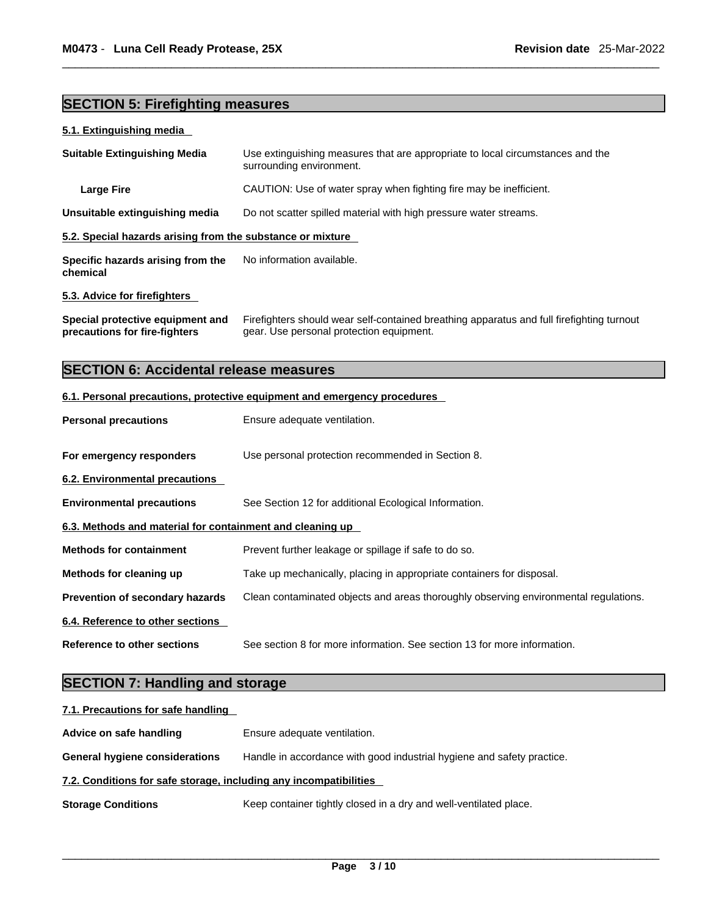## **SECTION 5: Firefighting measures**

#### **5.1. Extinguishing media**

| <b>Suitable Extinguishing Media</b>                        | Use extinguishing measures that are appropriate to local circumstances and the<br>surrounding environment. |  |
|------------------------------------------------------------|------------------------------------------------------------------------------------------------------------|--|
| <b>Large Fire</b>                                          | CAUTION: Use of water spray when fighting fire may be inefficient.                                         |  |
| Unsuitable extinguishing media                             | Do not scatter spilled material with high pressure water streams.                                          |  |
| 5.2. Special hazards arising from the substance or mixture |                                                                                                            |  |
| Specific hazards arising from the<br>chemical              | No information available.                                                                                  |  |
| 5.3. Advice for firefighters                               |                                                                                                            |  |

**Special protective equipment and precautions for fire-fighters** Firefighters should wear self-contained breathing apparatus and full firefighting turnout gear. Use personal protection equipment.

## **SECTION 6: Accidental release measures**

#### **6.1. Personal precautions, protective equipment and emergency procedures**

| <b>Personal precautions</b>                               | Ensure adequate ventilation.                                                         |  |
|-----------------------------------------------------------|--------------------------------------------------------------------------------------|--|
| For emergency responders                                  | Use personal protection recommended in Section 8.                                    |  |
| 6.2. Environmental precautions                            |                                                                                      |  |
| <b>Environmental precautions</b>                          | See Section 12 for additional Ecological Information.                                |  |
| 6.3. Methods and material for containment and cleaning up |                                                                                      |  |
| <b>Methods for containment</b>                            | Prevent further leakage or spillage if safe to do so.                                |  |
| Methods for cleaning up                                   | Take up mechanically, placing in appropriate containers for disposal.                |  |
| Prevention of secondary hazards                           | Clean contaminated objects and areas thoroughly observing environmental regulations. |  |
| 6.4. Reference to other sections                          |                                                                                      |  |
| Reference to other sections                               | See section 8 for more information. See section 13 for more information.             |  |

## **SECTION 7: Handling and storage**

| 7.1. Precautions for safe handling                                |                                                                        |  |
|-------------------------------------------------------------------|------------------------------------------------------------------------|--|
| Advice on safe handling                                           | Ensure adequate ventilation.                                           |  |
| <b>General hygiene considerations</b>                             | Handle in accordance with good industrial hygiene and safety practice. |  |
| 7.2. Conditions for safe storage, including any incompatibilities |                                                                        |  |
| <b>Storage Conditions</b>                                         | Keep container tightly closed in a dry and well-ventilated place.      |  |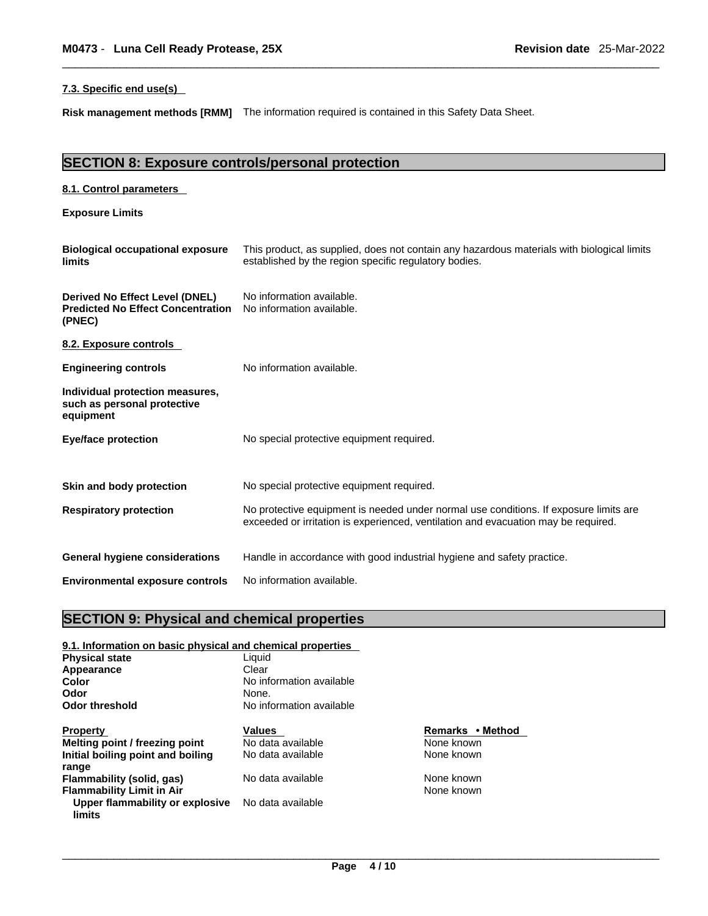#### **7.3. Specific end use(s)**

**Risk management methods [RMM]** The information required iscontained in this Safety Data Sheet.

## **SECTION 8: Exposure controls/personal protection**

| 8.1. Control parameters                                                              |                                                                                                                                                                             |
|--------------------------------------------------------------------------------------|-----------------------------------------------------------------------------------------------------------------------------------------------------------------------------|
| <b>Exposure Limits</b>                                                               |                                                                                                                                                                             |
| <b>Biological occupational exposure</b><br>limits                                    | This product, as supplied, does not contain any hazardous materials with biological limits<br>established by the region specific regulatory bodies.                         |
| Derived No Effect Level (DNEL)<br><b>Predicted No Effect Concentration</b><br>(PNEC) | No information available.<br>No information available.                                                                                                                      |
| 8.2. Exposure controls                                                               |                                                                                                                                                                             |
| <b>Engineering controls</b>                                                          | No information available.                                                                                                                                                   |
| Individual protection measures,<br>such as personal protective<br>equipment          |                                                                                                                                                                             |
| <b>Eye/face protection</b>                                                           | No special protective equipment required.                                                                                                                                   |
| Skin and body protection                                                             | No special protective equipment required.                                                                                                                                   |
| <b>Respiratory protection</b>                                                        | No protective equipment is needed under normal use conditions. If exposure limits are<br>exceeded or irritation is experienced, ventilation and evacuation may be required. |
| <b>General hygiene considerations</b>                                                | Handle in accordance with good industrial hygiene and safety practice.                                                                                                      |
| <b>Environmental exposure controls</b>                                               | No information available.                                                                                                                                                   |

## **SECTION 9: Physical and chemical properties**

| 9.1. Information on basic physical and chemical properties |                          |                  |  |
|------------------------------------------------------------|--------------------------|------------------|--|
| <b>Physical state</b>                                      | Liquid                   |                  |  |
| Appearance                                                 | Clear                    |                  |  |
| Color                                                      | No information available |                  |  |
| Odor                                                       | None.                    |                  |  |
| <b>Odor threshold</b>                                      | No information available |                  |  |
| <b>Property</b>                                            | <b>Values</b>            | Remarks • Method |  |
| Melting point / freezing point                             | No data available        | None known       |  |
| Initial boiling point and boiling                          | No data available        | None known       |  |
| range                                                      |                          |                  |  |
| Flammability (solid, gas)                                  | No data available        | None known       |  |
| <b>Flammability Limit in Air</b>                           |                          | None known       |  |
| Upper flammability or explosive<br>limits                  | No data available        |                  |  |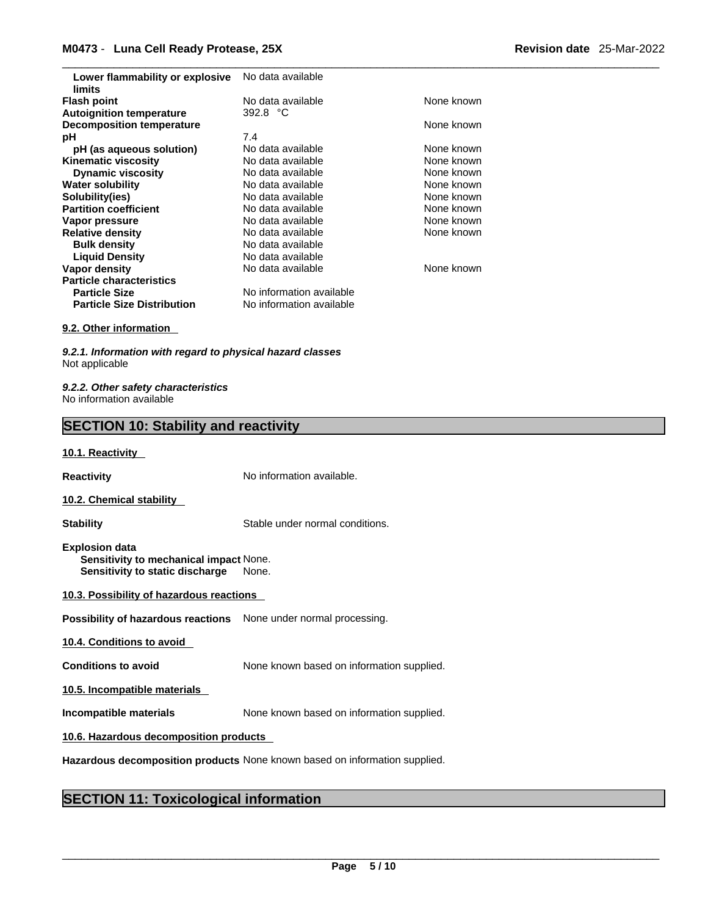| Lower flammability or explosive   | No data available        |            |
|-----------------------------------|--------------------------|------------|
| limits                            |                          |            |
| <b>Flash point</b>                | No data available        | None known |
| <b>Autoignition temperature</b>   | 392.8 °C                 |            |
| <b>Decomposition temperature</b>  |                          | None known |
| рH                                | 7.4                      |            |
| pH (as aqueous solution)          | No data available        | None known |
| <b>Kinematic viscosity</b>        | No data available        | None known |
| <b>Dynamic viscosity</b>          | No data available        | None known |
| <b>Water solubility</b>           | No data available        | None known |
| Solubility(ies)                   | No data available        | None known |
| <b>Partition coefficient</b>      | No data available        | None known |
| Vapor pressure                    | No data available        | None known |
| <b>Relative density</b>           | No data available        | None known |
| <b>Bulk density</b>               | No data available        |            |
| <b>Liquid Density</b>             | No data available        |            |
| Vapor density                     | No data available        | None known |
| <b>Particle characteristics</b>   |                          |            |
| <b>Particle Size</b>              | No information available |            |
| <b>Particle Size Distribution</b> | No information available |            |

#### **9.2. Other information**

*9.2.1. Information with regard to physical hazard classes* Not applicable

*9.2.2. Other safety characteristics* No information available

## **SECTION 10: Stability and reactivity**

#### **10.1. Reactivity**

**Reactivity No information available. 10.2. Chemical stability** 

**Stability** Stable under normal conditions.

**Explosion data Sensitivity to mechanical impact** None. **Sensitivity to static discharge** None.

| 10.3. Possibility of hazardous reactions |
|------------------------------------------|
|------------------------------------------|

**Possibility of hazardous reactions** None under normal processing.

**10.4. Conditions to avoid** 

**Conditions to avoid** None known based on information supplied.

**10.5. Incompatible materials**

**Incompatible materials** None known based on information supplied.

**10.6. Hazardous decomposition products** 

**Hazardous decomposition products** None known based on information supplied.

#### **SECTION 11: Toxicological information**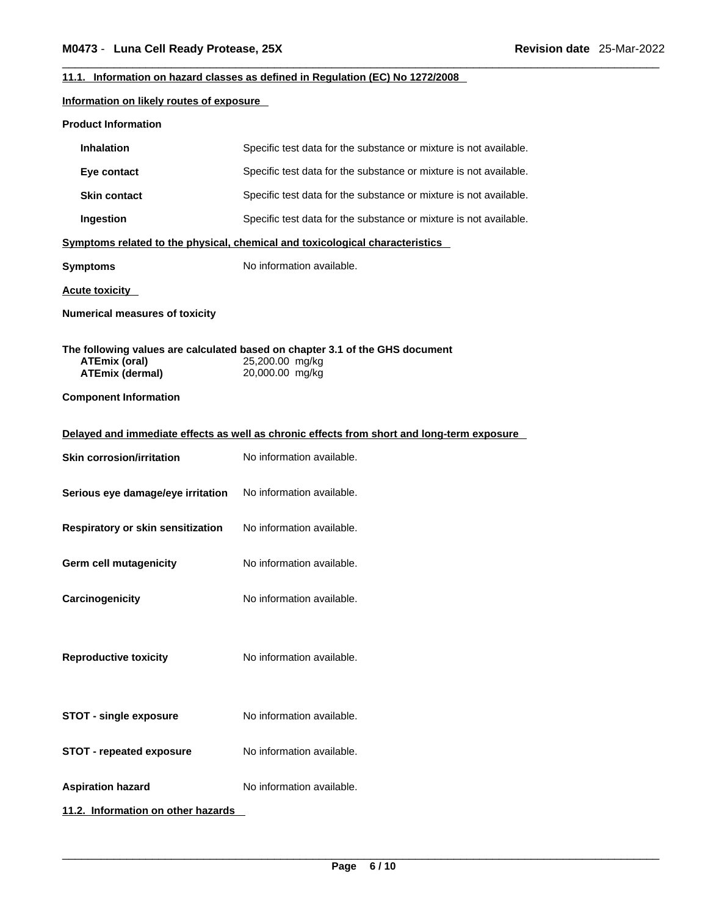#### **11.1. Information on hazard classes as defined in Regulation (EC) No 1272/2008**

#### **Information on likely routes of exposure**

| <b>Product Information</b>                                                                 |                                                                                                                    |  |
|--------------------------------------------------------------------------------------------|--------------------------------------------------------------------------------------------------------------------|--|
| <b>Inhalation</b>                                                                          | Specific test data for the substance or mixture is not available.                                                  |  |
| Eye contact                                                                                | Specific test data for the substance or mixture is not available.                                                  |  |
| <b>Skin contact</b>                                                                        | Specific test data for the substance or mixture is not available.                                                  |  |
| Ingestion                                                                                  | Specific test data for the substance or mixture is not available.                                                  |  |
|                                                                                            | Symptoms related to the physical, chemical and toxicological characteristics                                       |  |
| <b>Symptoms</b>                                                                            | No information available.                                                                                          |  |
| <b>Acute toxicity</b>                                                                      |                                                                                                                    |  |
| <b>Numerical measures of toxicity</b>                                                      |                                                                                                                    |  |
| <b>ATEmix (oral)</b><br><b>ATEmix (dermal)</b><br><b>Component Information</b>             | The following values are calculated based on chapter 3.1 of the GHS document<br>25,200.00 mg/kg<br>20,000.00 mg/kg |  |
| Delayed and immediate effects as well as chronic effects from short and long-term exposure |                                                                                                                    |  |
| <b>Skin corrosion/irritation</b>                                                           | No information available.                                                                                          |  |
| Serious eye damage/eye irritation                                                          | No information available.                                                                                          |  |
| Respiratory or skin sensitization                                                          | No information available.                                                                                          |  |
| Germ cell mutagenicity                                                                     | No information available.                                                                                          |  |
| Carcinogenicity                                                                            | No information available.                                                                                          |  |
| <b>Reproductive toxicity</b>                                                               | No information available.                                                                                          |  |
| <b>STOT - single exposure</b>                                                              | No information available.                                                                                          |  |
| <b>STOT - repeated exposure</b>                                                            | No information available.                                                                                          |  |
| <b>Aspiration hazard</b>                                                                   | No information available.                                                                                          |  |
| 11.2. Information on other hazards                                                         |                                                                                                                    |  |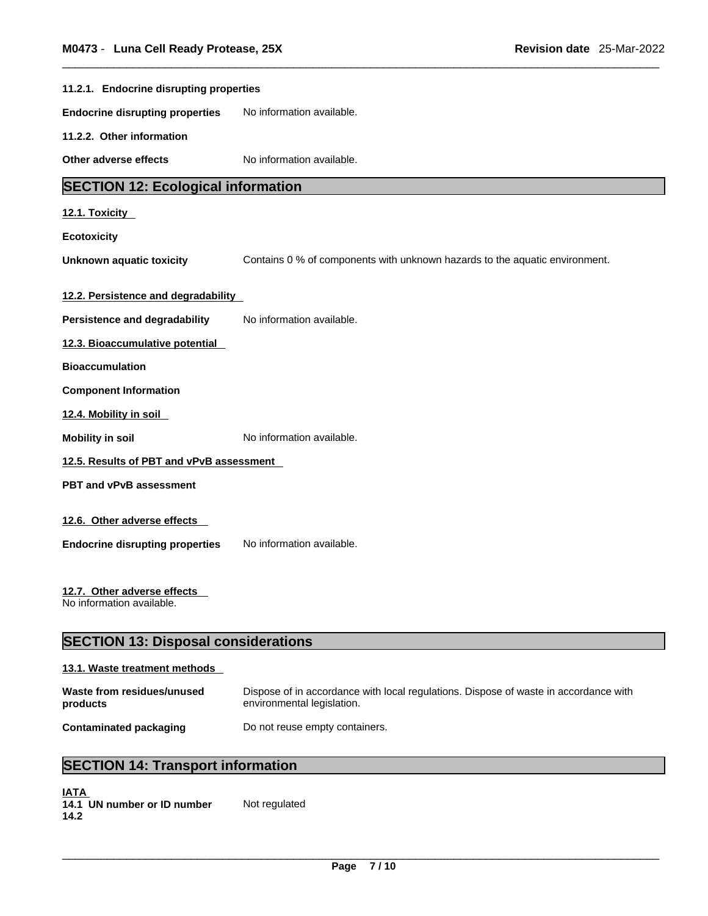| 11.2.1. Endocrine disrupting properties                  |                                                                             |  |
|----------------------------------------------------------|-----------------------------------------------------------------------------|--|
| <b>Endocrine disrupting properties</b>                   | No information available.                                                   |  |
| 11.2.2. Other information                                |                                                                             |  |
| Other adverse effects                                    | No information available.                                                   |  |
| <b>SECTION 12: Ecological information</b>                |                                                                             |  |
| 12.1. Toxicity                                           |                                                                             |  |
| <b>Ecotoxicity</b>                                       |                                                                             |  |
| <b>Unknown aquatic toxicity</b>                          | Contains 0 % of components with unknown hazards to the aquatic environment. |  |
| 12.2. Persistence and degradability                      |                                                                             |  |
| <b>Persistence and degradability</b>                     | No information available.                                                   |  |
| 12.3. Bioaccumulative potential                          |                                                                             |  |
| <b>Bioaccumulation</b>                                   |                                                                             |  |
| <b>Component Information</b>                             |                                                                             |  |
| 12.4. Mobility in soil                                   |                                                                             |  |
| <b>Mobility in soil</b>                                  | No information available.                                                   |  |
| 12.5. Results of PBT and vPvB assessment                 |                                                                             |  |
| <b>PBT and vPvB assessment</b>                           |                                                                             |  |
|                                                          |                                                                             |  |
| 12.6. Other adverse effects                              |                                                                             |  |
| <b>Endocrine disrupting properties</b>                   | No information available.                                                   |  |
| 12.7. Other adverse effects<br>No information available. |                                                                             |  |
| <b>SECTION 13: Disposal considerations</b>               |                                                                             |  |

## **13.1. Waste treatment methods**

#### **Waste from residues/unused products**  Dispose of in accordance with local regulations. Dispose of waste in accordance with environmental legislation. **Contaminated packaging** Do not reuse empty containers.

## **SECTION 14: Transport information**

| <b>IATA</b> |                             |               |
|-------------|-----------------------------|---------------|
|             | 14.1 UN number or ID number | Not regulated |
| 14.2        |                             |               |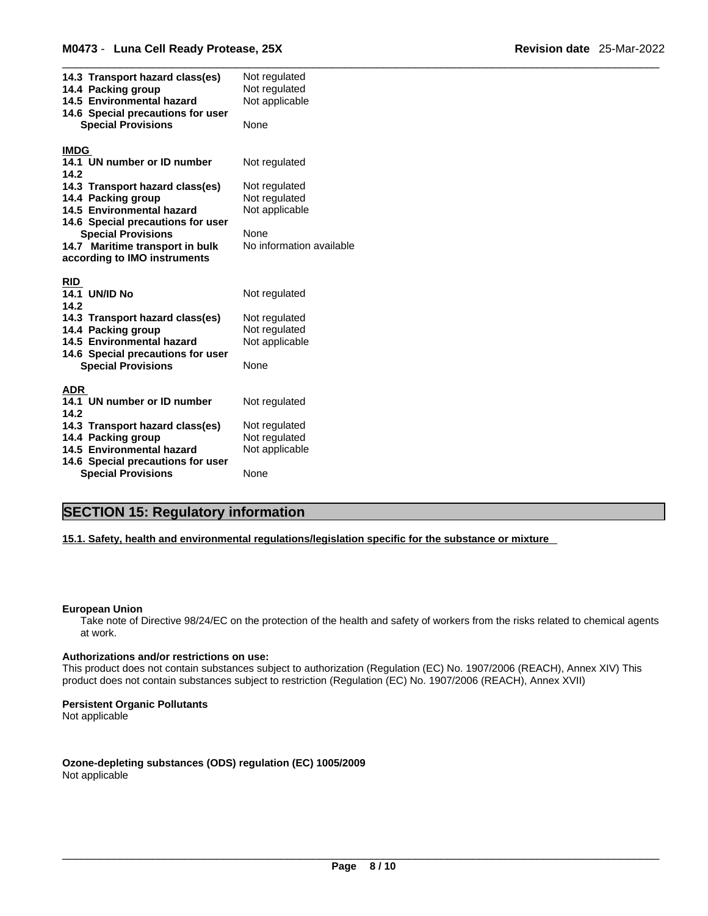| 14.3 Transport hazard class(es)<br>14.4 Packing group<br>14.5 Environmental hazard<br>14.6 Special precautions for user<br><b>Special Provisions</b> | Not regulated<br>Not regulated<br>Not applicable<br>None |
|------------------------------------------------------------------------------------------------------------------------------------------------------|----------------------------------------------------------|
|                                                                                                                                                      |                                                          |
| <b>IMDG</b>                                                                                                                                          |                                                          |
| 14.1 UN number or ID number<br>14.2                                                                                                                  | Not regulated                                            |
| 14.3 Transport hazard class(es)                                                                                                                      | Not regulated                                            |
| 14.4 Packing group                                                                                                                                   | Not regulated                                            |
| 14.5 Environmental hazard                                                                                                                            | Not applicable                                           |
| 14.6 Special precautions for user                                                                                                                    |                                                          |
| <b>Special Provisions</b>                                                                                                                            | None                                                     |
| 14.7 Maritime transport in bulk                                                                                                                      | No information available                                 |
| according to IMO instruments                                                                                                                         |                                                          |
|                                                                                                                                                      |                                                          |
| <b>RID</b>                                                                                                                                           |                                                          |
| <b>14.1 UN/ID No</b><br>14.2                                                                                                                         | Not regulated                                            |
| 14.3 Transport hazard class(es)                                                                                                                      | Not regulated                                            |
| 14.4 Packing group                                                                                                                                   | Not regulated                                            |
| 14.5 Environmental hazard                                                                                                                            | Not applicable                                           |
| 14.6 Special precautions for user                                                                                                                    |                                                          |
| <b>Special Provisions</b>                                                                                                                            | None                                                     |
|                                                                                                                                                      |                                                          |
| ADR                                                                                                                                                  |                                                          |
| 14.1 UN number or ID number<br>14.2                                                                                                                  | Not regulated                                            |
| 14.3 Transport hazard class(es)                                                                                                                      | Not regulated                                            |
| 14.4 Packing group                                                                                                                                   | Not regulated                                            |
| 14.5 Environmental hazard                                                                                                                            | Not applicable                                           |
| 14.6 Special precautions for user                                                                                                                    |                                                          |
| <b>Special Provisions</b>                                                                                                                            | None                                                     |

## **SECTION 15: Regulatory information**

**15.1. Safety, health and environmental regulations/legislation specific for the substance or mixture**

#### **European Union**

Take note of Directive 98/24/EC on the protection of the health and safety of workers from the risks related to chemical agents at work.

#### **Authorizations and/or restrictions on use:**

This product does not contain substances subject to authorization (Regulation (EC) No. 1907/2006 (REACH), Annex XIV) This product does not contain substances subject to restriction (Regulation (EC) No. 1907/2006 (REACH), Annex XVII)

#### **Persistent Organic Pollutants**

Not applicable

**Ozone-depleting substances (ODS) regulation (EC) 1005/2009** Not applicable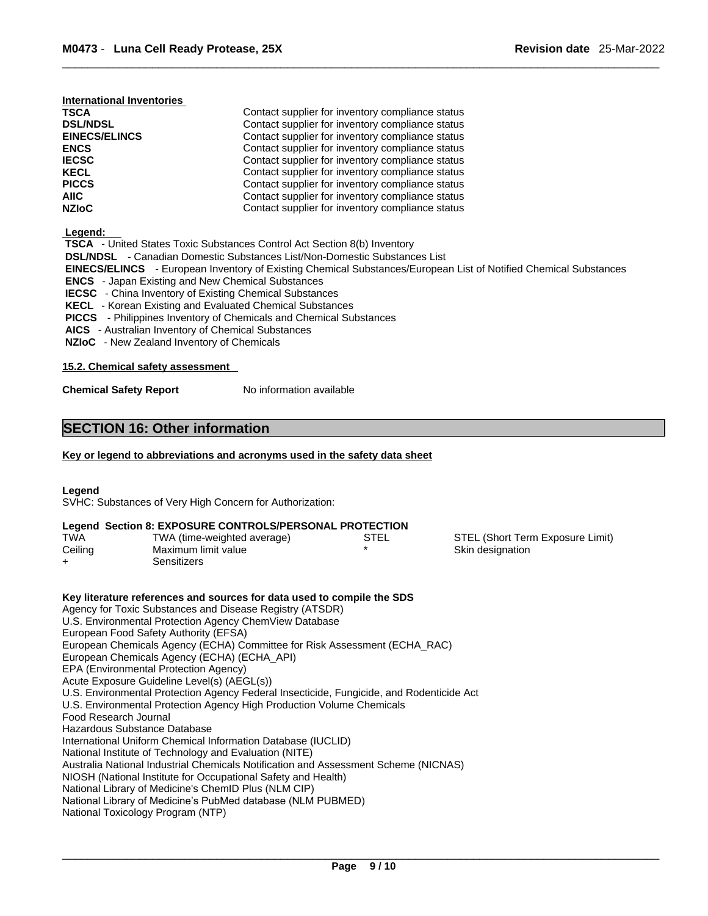#### **International Inventories**

| <b>TSCA</b>          | Contact supplier for inventory compliance status |  |
|----------------------|--------------------------------------------------|--|
| <b>DSL/NDSL</b>      | Contact supplier for inventory compliance status |  |
| <b>EINECS/ELINCS</b> | Contact supplier for inventory compliance status |  |
| <b>ENCS</b>          | Contact supplier for inventory compliance status |  |
| <b>IECSC</b>         | Contact supplier for inventory compliance status |  |
| <b>KECL</b>          | Contact supplier for inventory compliance status |  |
| <b>PICCS</b>         | Contact supplier for inventory compliance status |  |
| AIIC                 | Contact supplier for inventory compliance status |  |
| <b>NZIoC</b>         | Contact supplier for inventory compliance status |  |

 **Legend:** 

| -------                                                                                                                 |
|-------------------------------------------------------------------------------------------------------------------------|
| <b>TSCA</b> - United States Toxic Substances Control Act Section 8(b) Inventory                                         |
| <b>DSL/NDSL</b> - Canadian Domestic Substances List/Non-Domestic Substances List                                        |
| <b>EINECS/ELINCS</b> - European Inventory of Existing Chemical Substances/European List of Notified Chemical Substances |
| <b>ENCS</b> - Japan Existing and New Chemical Substances                                                                |
| <b>IECSC</b> - China Inventory of Existing Chemical Substances                                                          |
| <b>KECL</b> - Korean Existing and Evaluated Chemical Substances                                                         |
| <b>PICCS</b> - Philippines Inventory of Chemicals and Chemical Substances                                               |
| <b>AICS</b> - Australian Inventory of Chemical Substances                                                               |

 **NZIoC** - New Zealand Inventory of Chemicals

#### **15.2. Chemical safety assessment**

**Chemical Safety Report** No information available

#### **SECTION 16: Other information**

#### **Key or legend to abbreviations and acronyms used in the safety data sheet**

#### **Legend**

SVHC: Substances of Very High Concern for Authorization:

#### **Legend Section 8: EXPOSURE CONTROLS/PERSONAL PROTECTION**

| <b>TWA</b> | TWA (time-weighted average) | STEL | STEL (Short Term Exposure Limit) |
|------------|-----------------------------|------|----------------------------------|
| Ceiling    | Maximum limit value         |      | Skin designation                 |
|            | Sensitizers                 |      |                                  |

**Key literature references and sources for data used to compile the SDS** Agency for Toxic Substances and Disease Registry (ATSDR) U.S. Environmental Protection Agency ChemView Database European Food Safety Authority (EFSA) European Chemicals Agency (ECHA) Committee for Risk Assessment (ECHA\_RAC) European Chemicals Agency (ECHA) (ECHA\_API) EPA (Environmental Protection Agency) Acute Exposure Guideline Level(s) (AEGL(s)) U.S. Environmental Protection Agency Federal Insecticide, Fungicide, and Rodenticide Act U.S. Environmental Protection Agency High Production Volume Chemicals Food Research Journal Hazardous Substance Database International Uniform Chemical Information Database (IUCLID) National Institute of Technology and Evaluation (NITE) Australia National Industrial Chemicals Notification and Assessment Scheme (NICNAS) NIOSH (National Institute for Occupational Safety and Health) National Library of Medicine's ChemID Plus (NLM CIP) National Library of Medicine's PubMed database (NLM PUBMED) National Toxicology Program (NTP)